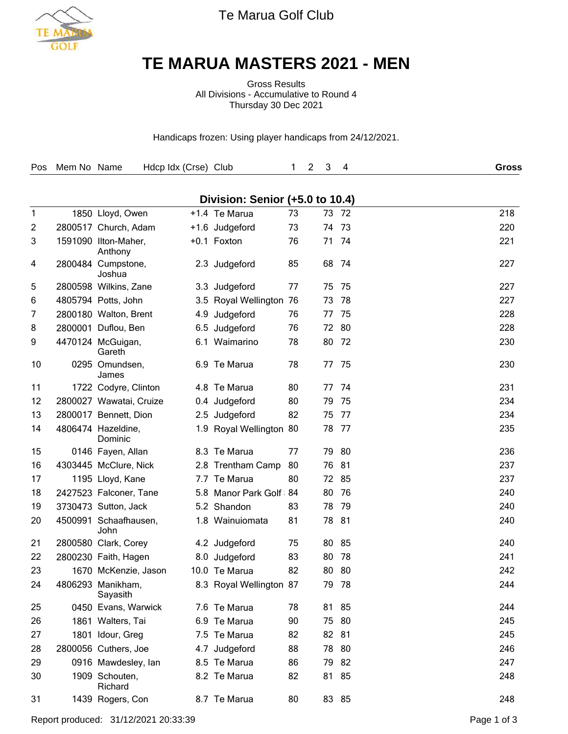

Te Marua Golf Club

## **TE MARUA MASTERS 2021 - MEN**

Gross Results All Divisions - Accumulative to Round 4 Thursday 30 Dec 2021

Handicaps frozen: Using player handicaps from 24/12/2021.

| Pos          | Mem No Name |                                 | Hdcp Idx (Crse) Club |                                 | 1  | 3<br>2 | 4     | Gross |
|--------------|-------------|---------------------------------|----------------------|---------------------------------|----|--------|-------|-------|
|              |             |                                 |                      | Division: Senior (+5.0 to 10.4) |    |        |       |       |
| $\mathbf{1}$ |             | 1850 Lloyd, Owen                |                      | +1.4 Te Marua                   | 73 | 73     | - 72  | 218   |
| 2            |             | 2800517 Church, Adam            |                      | +1.6 Judgeford                  | 73 | 74     | - 73  | 220   |
| 3            |             | 1591090 Ilton-Maher,<br>Anthony |                      | +0.1 Foxton                     | 76 | 71     | 74    | 221   |
| 4            |             | 2800484 Cumpstone,<br>Joshua    |                      | 2.3 Judgeford                   | 85 | 68     | -74   | 227   |
| 5            |             | 2800598 Wilkins, Zane           |                      | 3.3 Judgeford                   | 77 | 75     | 75    | 227   |
| 6            |             | 4805794 Potts, John             |                      | 3.5 Royal Wellington            | 76 | 73     | -78   | 227   |
| 7            |             | 2800180 Walton, Brent           | 4.9                  | Judgeford                       | 76 | 77     | 75    | 228   |
| 8            |             | 2800001 Duflou, Ben             | 6.5                  | Judgeford                       | 76 |        | 72 80 | 228   |
| 9            |             | 4470124 McGuigan,<br>Gareth     | 6.1                  | Waimarino                       | 78 | 80     | -72   | 230   |
| 10           |             | 0295 Omundsen,<br>James         |                      | 6.9 Te Marua                    | 78 | 77     | -75   | 230   |
| 11           |             | 1722 Codyre, Clinton            |                      | 4.8 Te Marua                    | 80 | 77     | -74   | 231   |
| 12           |             | 2800027 Wawatai, Cruize         |                      | 0.4 Judgeford                   | 80 | 79     | 75    | 234   |
| 13           |             | 2800017 Bennett, Dion           |                      | 2.5 Judgeford                   | 82 | 75     | 77    | 234   |
| 14           |             | 4806474 Hazeldine,<br>Dominic   |                      | 1.9 Royal Wellington 80         |    | 78     | -77   | 235   |
| 15           |             | 0146 Fayen, Allan               |                      | 8.3 Te Marua                    | 77 | 79     | 80    | 236   |
| 16           |             | 4303445 McClure, Nick           |                      | 2.8 Trentham Camp               | 80 | 76     | -81   | 237   |
| 17           |             | 1195 Lloyd, Kane                |                      | 7.7 Te Marua                    | 80 |        | 72 85 | 237   |
| 18           |             | 2427523 Falconer, Tane          |                      | 5.8 Manor Park Golf             | 84 | 80     | 76    | 240   |
| 19           |             | 3730473 Sutton, Jack            |                      | 5.2 Shandon                     | 83 | 78     | 79    | 240   |
| 20           |             | 4500991 Schaafhausen,<br>John   |                      | 1.8 Wainuiomata                 | 81 | 78     | -81   | 240   |
| 21           |             | 2800580 Clark, Corey            |                      | 4.2 Judgeford                   | 75 | 80     | 85    | 240   |
| 22           |             | 2800230 Faith, Hagen            |                      | 8.0 Judgeford                   | 83 | 80     | 78    | 241   |
| 23           |             | 1670 McKenzie, Jason            |                      | 10.0 Te Marua                   | 82 | 80     | 80    | 242   |
| 24           |             | 4806293 Manikham,<br>Sayasith   |                      | 8.3 Royal Wellington 87         |    | 79     | - 78  | 244   |
| 25           |             | 0450 Evans, Warwick             |                      | 7.6 Te Marua                    | 78 |        | 81 85 | 244   |
| 26           |             | 1861 Walters, Tai               |                      | 6.9 Te Marua                    | 90 | 75     | 80    | 245   |
| 27           |             | 1801 Idour, Greg                |                      | 7.5 Te Marua                    | 82 |        | 82 81 | 245   |
| 28           |             | 2800056 Cuthers, Joe            |                      | 4.7 Judgeford                   | 88 |        | 78 80 | 246   |
| 29           |             | 0916 Mawdesley, lan             |                      | 8.5 Te Marua                    | 86 |        | 79 82 | 247   |
| 30           |             | 1909 Schouten,<br>Richard       |                      | 8.2 Te Marua                    | 82 |        | 81 85 | 248   |
| 31           |             | 1439 Rogers, Con                |                      | 8.7 Te Marua                    | 80 |        | 83 85 | 248   |

Report produced: 31/12/2021 20:33:39 Page 1 of 3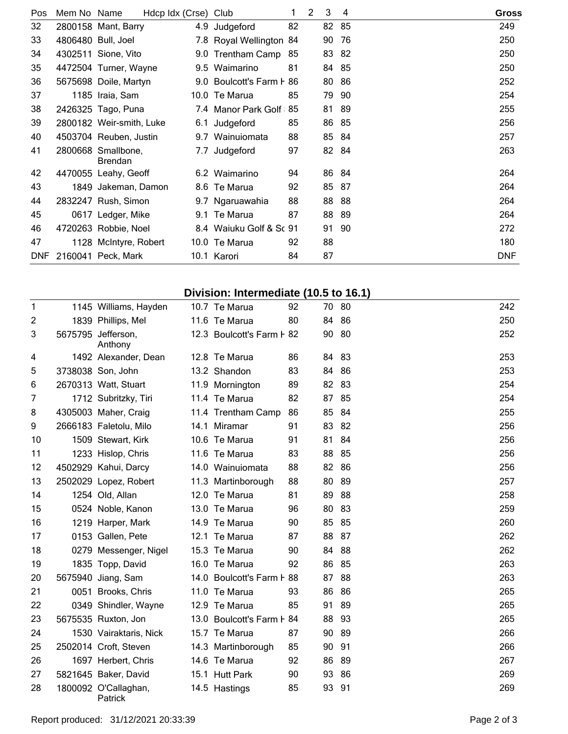| Pos | Mem No Name |                                      | Hdcp Idx (Crse) Club |                          |    | 2 | 3     | 4   | <b>Gross</b> |  |
|-----|-------------|--------------------------------------|----------------------|--------------------------|----|---|-------|-----|--------------|--|
| 32  |             | 2800158 Mant, Barry                  |                      | 4.9 Judgeford            | 82 |   | 82 85 |     | 249          |  |
| 33  |             | 4806480 Bull, Joel                   |                      | 7.8 Royal Wellington 84  |    |   | 90    | -76 | 250          |  |
| 34  |             | 4302511 Sione, Vito                  |                      | 9.0 Trentham Camp 85     |    |   | 83 82 |     | 250          |  |
| 35  |             | 4472504 Turner, Wayne                |                      | 9.5 Waimarino            | 81 |   | 84 85 |     | 250          |  |
| 36  |             | 5675698 Doile, Martyn                |                      | 9.0 Boulcott's Farm F 86 |    |   | 80    | -86 | 252          |  |
| 37  |             | 1185 Iraia, Sam                      |                      | 10.0 Te Marua            | 85 |   | 79    | -90 | 254          |  |
| 38  |             | 2426325 Tago, Puna                   |                      | 7.4 Manor Park Golf      | 85 |   | 81    | -89 | 255          |  |
| 39  |             | 2800182 Weir-smith, Luke             |                      | 6.1 Judgeford            | 85 |   | 86    | -85 | 256          |  |
| 40  |             | 4503704 Reuben, Justin               |                      | 9.7 Wainuiomata          | 88 |   | 85    | -84 | 257          |  |
| 41  |             | 2800668 Smallbone,<br><b>Brendan</b> |                      | 7.7 Judgeford            | 97 |   | 82 84 |     | 263          |  |
| 42  |             | 4470055 Leahy, Geoff                 |                      | 6.2 Waimarino            | 94 |   | 86 84 |     | 264          |  |
| 43  |             | 1849 Jakeman, Damon                  |                      | 8.6 Te Marua             | 92 |   | 85 87 |     | 264          |  |
| 44  |             | 2832247 Rush, Simon                  |                      | 9.7 Ngaruawahia          | 88 |   | 88 88 |     | 264          |  |
| 45  |             | 0617 Ledger, Mike                    |                      | 9.1 Te Marua             | 87 |   | 88 89 |     | 264          |  |
| 46  |             | 4720263 Robbie, Noel                 |                      | 8.4 Waiuku Golf & Sc 91  |    |   | 91    | 90  | 272          |  |
| 47  |             | 1128 McIntyre, Robert                |                      | 10.0 Te Marua            | 92 |   | 88    |     | 180          |  |
| DNF |             | 2160041 Peck, Mark                   |                      | 10.1 Karori              | 84 |   | 87    |     | <b>DNF</b>   |  |

## **Division: Intermediate (10.5 to 16.1)**

| 1  | 1145 Williams, Hayden           | 10.7 Te Marua             | 92 |       | 70 80 | 242 |
|----|---------------------------------|---------------------------|----|-------|-------|-----|
| 2  | 1839 Phillips, Mel              | 11.6 Te Marua             | 80 | 84    | 86    | 250 |
| 3  | 5675795 Jefferson,<br>Anthony   | 12.3 Boulcott's Farm F 82 |    | 90    | -80   | 252 |
| 4  | 1492 Alexander, Dean            | 12.8 Te Marua             | 86 | 84 83 |       | 253 |
| 5  | 3738038 Son, John               | 13.2 Shandon              | 83 | 84 86 |       | 253 |
| 6  | 2670313 Watt, Stuart            | 11.9 Mornington           | 89 | 82 83 |       | 254 |
| 7  | 1712 Subritzky, Tiri            | 11.4 Te Marua             | 82 | 87    | 85    | 254 |
| 8  | 4305003 Maher, Craig            | 11.4 Trentham Camp        | 86 | 85 84 |       | 255 |
| 9  | 2666183 Faletolu, Milo          | 14.1 Miramar              | 91 | 83    | 82    | 256 |
| 10 | 1509 Stewart, Kirk              | 10.6 Te Marua             | 91 | 81    | 84    | 256 |
| 11 | 1233 Hislop, Chris              | 11.6 Te Marua             | 83 | 88    | 85    | 256 |
| 12 | 4502929 Kahui, Darcy            | 14.0 Wainuiomata          | 88 | 82 86 |       | 256 |
| 13 | 2502029 Lopez, Robert           | 11.3 Martinborough        | 88 | 80    | -89   | 257 |
| 14 | 1254 Old, Allan                 | 12.0 Te Marua             | 81 | 89    | -88   | 258 |
| 15 | 0524 Noble, Kanon               | 13.0 Te Marua             | 96 | 80 83 |       | 259 |
| 16 | 1219 Harper, Mark               | 14.9 Te Marua             | 90 | 85 85 |       | 260 |
| 17 | 0153 Gallen, Pete               | 12.1 Te Marua             | 87 | 88    | 87    | 262 |
| 18 | 0279 Messenger, Nigel           | 15.3 Te Marua             | 90 | 84    | 88    | 262 |
| 19 | 1835 Topp, David                | 16.0 Te Marua             | 92 | 86 85 |       | 263 |
| 20 | 5675940 Jiang, Sam              | 14.0 Boulcott's Farm F 88 |    | 87    | 88    | 263 |
| 21 | 0051 Brooks, Chris              | 11.0 Te Marua             | 93 | 86    | 86    | 265 |
| 22 | 0349 Shindler, Wayne            | 12.9 Te Marua             | 85 | 91    | 89    | 265 |
| 23 | 5675535 Ruxton, Jon             | 13.0 Boulcott's Farm F 84 |    | 88 93 |       | 265 |
| 24 | 1530 Vairaktaris, Nick          | 15.7 Te Marua             | 87 | 90 89 |       | 266 |
| 25 | 2502014 Croft, Steven           | 14.3 Martinborough        | 85 | 90 91 |       | 266 |
| 26 | 1697 Herbert, Chris             | 14.6 Te Marua             | 92 | 86 89 |       | 267 |
| 27 | 5821645 Baker, David            | 15.1 Hutt Park            | 90 | 93    | -86   | 269 |
| 28 | 1800092 O'Callaghan,<br>Patrick | 14.5 Hastings             | 85 | 93    | -91   | 269 |